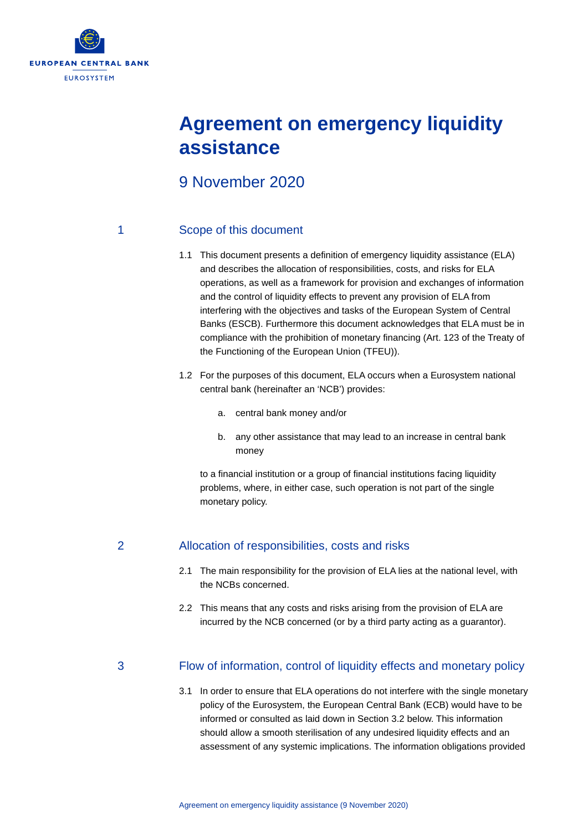

# **Agreement on emergency liquidity assistance**

# 9 November 2020

### 1 Scope of this document

- 1.1 This document presents a definition of emergency liquidity assistance (ELA) and describes the allocation of responsibilities, costs, and risks for ELA operations, as well as a framework for provision and exchanges of information and the control of liquidity effects to prevent any provision of ELA from interfering with the objectives and tasks of the European System of Central Banks (ESCB). Furthermore this document acknowledges that ELA must be in compliance with the prohibition of monetary financing (Art. 123 of the Treaty of the Functioning of the European Union (TFEU)).
- 1.2 For the purposes of this document, ELA occurs when a Eurosystem national central bank (hereinafter an 'NCB') provides:
	- a. central bank money and/or
	- b. any other assistance that may lead to an increase in central bank money

to a financial institution or a group of financial institutions facing liquidity problems, where, in either case, such operation is not part of the single monetary policy.

# 2 Allocation of responsibilities, costs and risks

- 2.1 The main responsibility for the provision of ELA lies at the national level, with the NCBs concerned.
- 2.2 This means that any costs and risks arising from the provision of ELA are incurred by the NCB concerned (or by a third party acting as a guarantor).

# 3 Flow of information, control of liquidity effects and monetary policy

3.1 In order to ensure that ELA operations do not interfere with the single monetary policy of the Eurosystem, the European Central Bank (ECB) would have to be informed or consulted as laid down in Section 3.2 below. This information should allow a smooth sterilisation of any undesired liquidity effects and an assessment of any systemic implications. The information obligations provided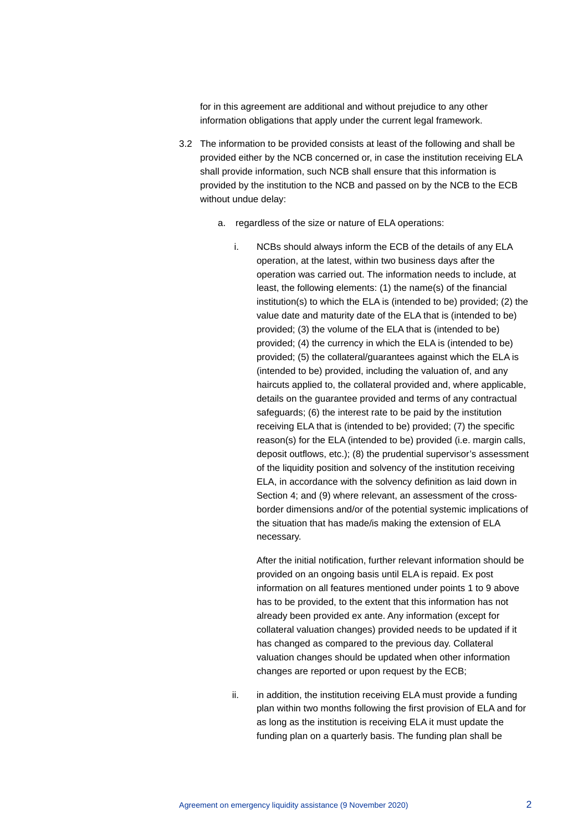for in this agreement are additional and without prejudice to any other information obligations that apply under the current legal framework.

- 3.2 The information to be provided consists at least of the following and shall be provided either by the NCB concerned or, in case the institution receiving ELA shall provide information, such NCB shall ensure that this information is provided by the institution to the NCB and passed on by the NCB to the ECB without undue delay:
	- a. regardless of the size or nature of ELA operations:
		- i. NCBs should always inform the ECB of the details of any ELA operation, at the latest, within two business days after the operation was carried out. The information needs to include, at least, the following elements: (1) the name(s) of the financial institution(s) to which the ELA is (intended to be) provided; (2) the value date and maturity date of the ELA that is (intended to be) provided; (3) the volume of the ELA that is (intended to be) provided; (4) the currency in which the ELA is (intended to be) provided; (5) the collateral/guarantees against which the ELA is (intended to be) provided, including the valuation of, and any haircuts applied to, the collateral provided and, where applicable, details on the guarantee provided and terms of any contractual safeguards; (6) the interest rate to be paid by the institution receiving ELA that is (intended to be) provided; (7) the specific reason(s) for the ELA (intended to be) provided (i.e. margin calls, deposit outflows, etc.); (8) the prudential supervisor's assessment of the liquidity position and solvency of the institution receiving ELA, in accordance with the solvency definition as laid down in Section 4; and (9) where relevant, an assessment of the crossborder dimensions and/or of the potential systemic implications of the situation that has made/is making the extension of ELA necessary.

After the initial notification, further relevant information should be provided on an ongoing basis until ELA is repaid. Ex post information on all features mentioned under points 1 to 9 above has to be provided, to the extent that this information has not already been provided ex ante. Any information (except for collateral valuation changes) provided needs to be updated if it has changed as compared to the previous day. Collateral valuation changes should be updated when other information changes are reported or upon request by the ECB;

ii. in addition, the institution receiving ELA must provide a funding plan within two months following the first provision of ELA and for as long as the institution is receiving ELA it must update the funding plan on a quarterly basis. The funding plan shall be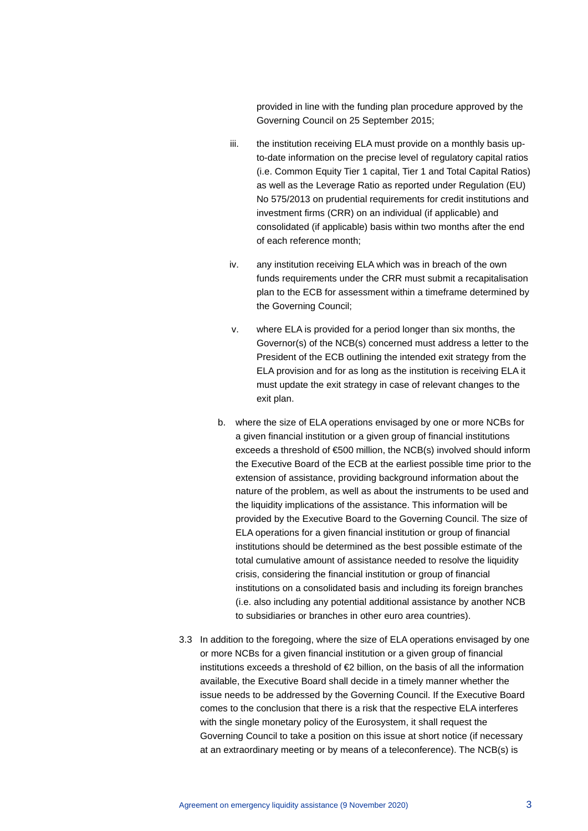provided in line with the funding plan procedure approved by the Governing Council on 25 September 2015;

- iii. the institution receiving ELA must provide on a monthly basis upto-date information on the precise level of regulatory capital ratios (i.e. Common Equity Tier 1 capital, Tier 1 and Total Capital Ratios) as well as the Leverage Ratio as reported under Regulation (EU) No 575/2013 on prudential requirements for credit institutions and investment firms (CRR) on an individual (if applicable) and consolidated (if applicable) basis within two months after the end of each reference month;
- iv. any institution receiving ELA which was in breach of the own funds requirements under the CRR must submit a recapitalisation plan to the ECB for assessment within a timeframe determined by the Governing Council;
- v. where ELA is provided for a period longer than six months, the Governor(s) of the NCB(s) concerned must address a letter to the President of the ECB outlining the intended exit strategy from the ELA provision and for as long as the institution is receiving ELA it must update the exit strategy in case of relevant changes to the exit plan.
- b. where the size of ELA operations envisaged by one or more NCBs for a given financial institution or a given group of financial institutions exceeds a threshold of €500 million, the NCB(s) involved should inform the Executive Board of the ECB at the earliest possible time prior to the extension of assistance, providing background information about the nature of the problem, as well as about the instruments to be used and the liquidity implications of the assistance. This information will be provided by the Executive Board to the Governing Council. The size of ELA operations for a given financial institution or group of financial institutions should be determined as the best possible estimate of the total cumulative amount of assistance needed to resolve the liquidity crisis, considering the financial institution or group of financial institutions on a consolidated basis and including its foreign branches (i.e. also including any potential additional assistance by another NCB to subsidiaries or branches in other euro area countries).
- 3.3 In addition to the foregoing, where the size of ELA operations envisaged by one or more NCBs for a given financial institution or a given group of financial institutions exceeds a threshold of €2 billion, on the basis of all the information available, the Executive Board shall decide in a timely manner whether the issue needs to be addressed by the Governing Council. If the Executive Board comes to the conclusion that there is a risk that the respective ELA interferes with the single monetary policy of the Eurosystem, it shall request the Governing Council to take a position on this issue at short notice (if necessary at an extraordinary meeting or by means of a teleconference). The NCB(s) is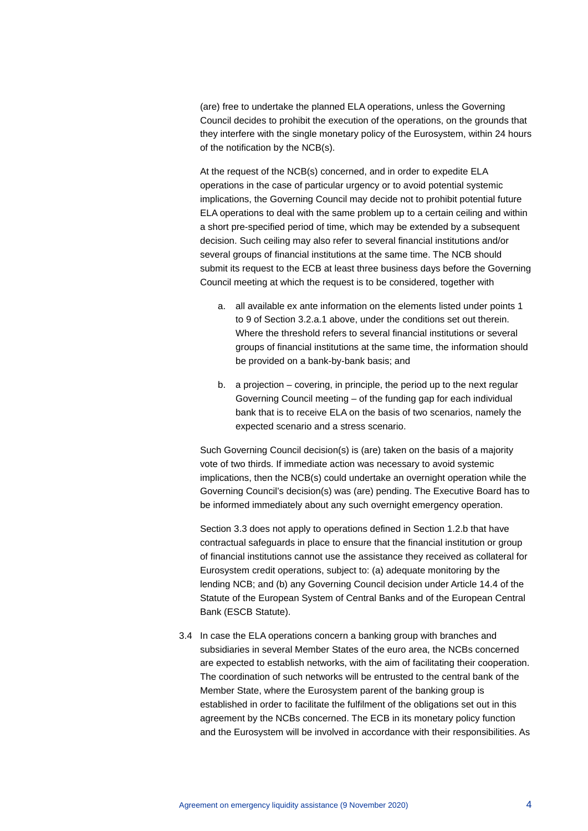(are) free to undertake the planned ELA operations, unless the Governing Council decides to prohibit the execution of the operations, on the grounds that they interfere with the single monetary policy of the Eurosystem, within 24 hours of the notification by the NCB(s).

At the request of the NCB(s) concerned, and in order to expedite ELA operations in the case of particular urgency or to avoid potential systemic implications, the Governing Council may decide not to prohibit potential future ELA operations to deal with the same problem up to a certain ceiling and within a short pre-specified period of time, which may be extended by a subsequent decision. Such ceiling may also refer to several financial institutions and/or several groups of financial institutions at the same time. The NCB should submit its request to the ECB at least three business days before the Governing Council meeting at which the request is to be considered, together with

- a. all available ex ante information on the elements listed under points 1 to 9 of Section 3.2.a.1 above, under the conditions set out therein. Where the threshold refers to several financial institutions or several groups of financial institutions at the same time, the information should be provided on a bank-by-bank basis; and
- b. a projection covering, in principle, the period up to the next regular Governing Council meeting – of the funding gap for each individual bank that is to receive ELA on the basis of two scenarios, namely the expected scenario and a stress scenario.

Such Governing Council decision(s) is (are) taken on the basis of a majority vote of two thirds. If immediate action was necessary to avoid systemic implications, then the NCB(s) could undertake an overnight operation while the Governing Council's decision(s) was (are) pending. The Executive Board has to be informed immediately about any such overnight emergency operation.

Section 3.3 does not apply to operations defined in Section 1.2.b that have contractual safeguards in place to ensure that the financial institution or group of financial institutions cannot use the assistance they received as collateral for Eurosystem credit operations, subject to: (a) adequate monitoring by the lending NCB; and (b) any Governing Council decision under Article 14.4 of the Statute of the European System of Central Banks and of the European Central Bank (ESCB Statute).

3.4 In case the ELA operations concern a banking group with branches and subsidiaries in several Member States of the euro area, the NCBs concerned are expected to establish networks, with the aim of facilitating their cooperation. The coordination of such networks will be entrusted to the central bank of the Member State, where the Eurosystem parent of the banking group is established in order to facilitate the fulfilment of the obligations set out in this agreement by the NCBs concerned. The ECB in its monetary policy function and the Eurosystem will be involved in accordance with their responsibilities. As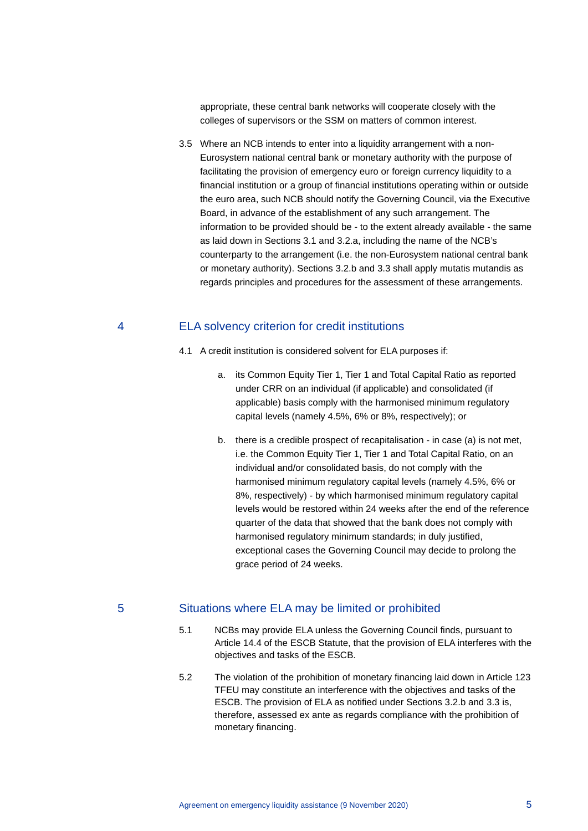appropriate, these central bank networks will cooperate closely with the colleges of supervisors or the SSM on matters of common interest.

3.5 Where an NCB intends to enter into a liquidity arrangement with a non-Eurosystem national central bank or monetary authority with the purpose of facilitating the provision of emergency euro or foreign currency liquidity to a financial institution or a group of financial institutions operating within or outside the euro area, such NCB should notify the Governing Council, via the Executive Board, in advance of the establishment of any such arrangement. The information to be provided should be - to the extent already available - the same as laid down in Sections 3.1 and 3.2.a, including the name of the NCB's counterparty to the arrangement (i.e. the non-Eurosystem national central bank or monetary authority). Sections 3.2.b and 3.3 shall apply mutatis mutandis as regards principles and procedures for the assessment of these arrangements.

#### 4 ELA solvency criterion for credit institutions

- 4.1 A credit institution is considered solvent for ELA purposes if:
	- a. its Common Equity Tier 1, Tier 1 and Total Capital Ratio as reported under CRR on an individual (if applicable) and consolidated (if applicable) basis comply with the harmonised minimum regulatory capital levels (namely 4.5%, 6% or 8%, respectively); or
	- b. there is a credible prospect of recapitalisation in case (a) is not met, i.e. the Common Equity Tier 1, Tier 1 and Total Capital Ratio, on an individual and/or consolidated basis, do not comply with the harmonised minimum regulatory capital levels (namely 4.5%, 6% or 8%, respectively) - by which harmonised minimum regulatory capital levels would be restored within 24 weeks after the end of the reference quarter of the data that showed that the bank does not comply with harmonised regulatory minimum standards; in duly justified, exceptional cases the Governing Council may decide to prolong the grace period of 24 weeks.

#### 5 Situations where ELA may be limited or prohibited

- 5.1 NCBs may provide ELA unless the Governing Council finds, pursuant to Article 14.4 of the ESCB Statute, that the provision of ELA interferes with the objectives and tasks of the ESCB.
- 5.2 The violation of the prohibition of monetary financing laid down in Article 123 TFEU may constitute an interference with the objectives and tasks of the ESCB. The provision of ELA as notified under Sections 3.2.b and 3.3 is, therefore, assessed ex ante as regards compliance with the prohibition of monetary financing.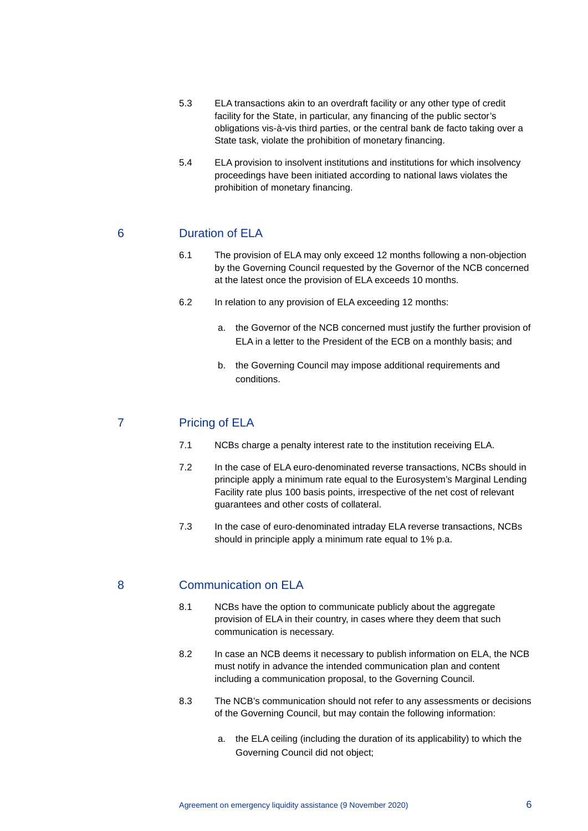- 5.3 ELA transactions akin to an overdraft facility or any other type of credit facility for the State, in particular, any financing of the public sector's obligations vis-à-vis third parties, or the central bank de facto taking over a State task, violate the prohibition of monetary financing.
- 5.4 ELA provision to insolvent institutions and institutions for which insolvency proceedings have been initiated according to national laws violates the prohibition of monetary financing.

# 6 Duration of ELA

- 6.1 The provision of ELA may only exceed 12 months following a non-objection by the Governing Council requested by the Governor of the NCB concerned at the latest once the provision of ELA exceeds 10 months.
- 6.2 In relation to any provision of ELA exceeding 12 months:
	- a. the Governor of the NCB concerned must justify the further provision of ELA in a letter to the President of the ECB on a monthly basis; and
	- b. the Governing Council may impose additional requirements and conditions.

# 7 Pricing of ELA

- 7.1 NCBs charge a penalty interest rate to the institution receiving ELA.
- 7.2 In the case of ELA euro-denominated reverse transactions, NCBs should in principle apply a minimum rate equal to the Eurosystem's Marginal Lending Facility rate plus 100 basis points, irrespective of the net cost of relevant guarantees and other costs of collateral.
- 7.3 In the case of euro-denominated intraday ELA reverse transactions, NCBs should in principle apply a minimum rate equal to 1% p.a.

# 8 Communication on ELA

- 8.1 NCBs have the option to communicate publicly about the aggregate provision of ELA in their country, in cases where they deem that such communication is necessary.
- 8.2 In case an NCB deems it necessary to publish information on ELA, the NCB must notify in advance the intended communication plan and content including a communication proposal, to the Governing Council.
- 8.3 The NCB's communication should not refer to any assessments or decisions of the Governing Council, but may contain the following information:
	- a. the ELA ceiling (including the duration of its applicability) to which the Governing Council did not object;

Agreement on emergency liquidity assistance (9 November 2020) 6